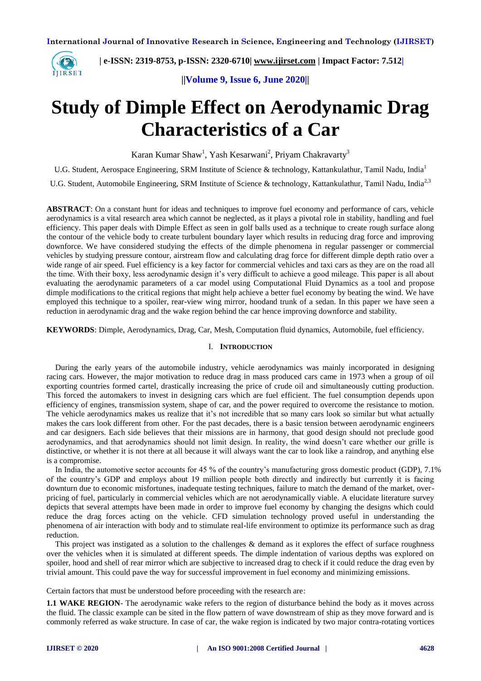

 **| e-ISSN: 2319-8753, p-ISSN: 2320-6710| [www.ijirset.com](http://www.ijirset.com/) | Impact Factor: 7.512|**

 **||Volume 9, Issue 6, June 2020||** 

# **Study of Dimple Effect on Aerodynamic Drag Characteristics of a Car**

Karan Kumar Shaw<sup>1</sup>, Yash Kesarwani<sup>2</sup>, Priyam Chakravarty<sup>3</sup>

U.G. Student, Aerospace Engineering, SRM Institute of Science & technology, Kattankulathur, Tamil Nadu, India<sup>1</sup>

U.G. Student, Automobile Engineering, SRM Institute of Science & technology, Kattankulathur, Tamil Nadu, India<sup>2,3</sup>

**ABSTRACT**: On a constant hunt for ideas and techniques to improve fuel economy and performance of cars, vehicle aerodynamics is a vital research area which cannot be neglected, as it plays a pivotal role in stability, handling and fuel efficiency. This paper deals with Dimple Effect as seen in golf balls used as a technique to create rough surface along the contour of the vehicle body to create turbulent boundary layer which results in reducing drag force and improving downforce. We have considered studying the effects of the dimple phenomena in regular passenger or commercial vehicles by studying pressure contour, airstream flow and calculating drag force for different dimple depth ratio over a wide range of air speed. Fuel efficiency is a key factor for commercial vehicles and taxi cars as they are on the road all the time. With their boxy, less aerodynamic design it's very difficult to achieve a good mileage. This paper is all about evaluating the aerodynamic parameters of a car model using Computational Fluid Dynamics as a tool and propose dimple modifications to the critical regions that might help achieve a better fuel economy by beating the wind. We have employed this technique to a spoiler, rear-view wing mirror, hoodand trunk of a sedan. In this paper we have seen a reduction in aerodynamic drag and the wake region behind the car hence improving downforce and stability.

**KEYWORDS**: Dimple, Aerodynamics, Drag, Car, Mesh, Computation fluid dynamics, Automobile, fuel efficiency.

#### I. **INTRODUCTION**

During the early years of the automobile industry, vehicle aerodynamics was mainly incorporated in designing racing cars. However, the major motivation to reduce drag in mass produced cars came in 1973 when a group of oil exporting countries formed cartel, drastically increasing the price of crude oil and simultaneously cutting production. This forced the automakers to invest in designing cars which are fuel efficient. The fuel consumption depends upon efficiency of engines, transmission system, shape of car, and the power required to overcome the resistance to motion. The vehicle aerodynamics makes us realize that it's not incredible that so many cars look so similar but what actually makes the cars look different from other. For the past decades, there is a basic tension between aerodynamic engineers and car designers. Each side believes that their missions are in harmony, that good design should not preclude good aerodynamics, and that aerodynamics should not limit design. In reality, the wind doesn't care whether our grille is distinctive, or whether it is not there at all because it will always want the car to look like a raindrop, and anything else is a compromise.

In India, the automotive sector accounts for 45 % of the country's manufacturing gross domestic product (GDP), 7.1% of the country's GDP and employs about 19 million people both directly and indirectly but currently it is facing downturn due to economic misfortunes, inadequate testing techniques, failure to match the demand of the market, overpricing of fuel, particularly in commercial vehicles which are not aerodynamically viable. A elucidate literature survey depicts that several attempts have been made in order to improve fuel economy by changing the designs which could reduce the drag forces acting on the vehicle. CFD simulation technology proved useful in understanding the phenomena of air interaction with body and to stimulate real-life environment to optimize its performance such as drag reduction.

This project was instigated as a solution to the challenges & demand as it explores the effect of surface roughness over the vehicles when it is simulated at different speeds. The dimple indentation of various depths was explored on spoiler, hood and shell of rear mirror which are subjective to increased drag to check if it could reduce the drag even by trivial amount. This could pave the way for successful improvement in fuel economy and minimizing emissions.

Certain factors that must be understood before proceeding with the research are:

**1.1 WAKE REGION**- The aerodynamic wake refers to the region of disturbance behind the body as it moves across the fluid. The classic example can be sited in the flow pattern of wave downstream of ship as they move forward and is commonly referred as wake structure. In case of car, the wake region is indicated by two major contra-rotating vortices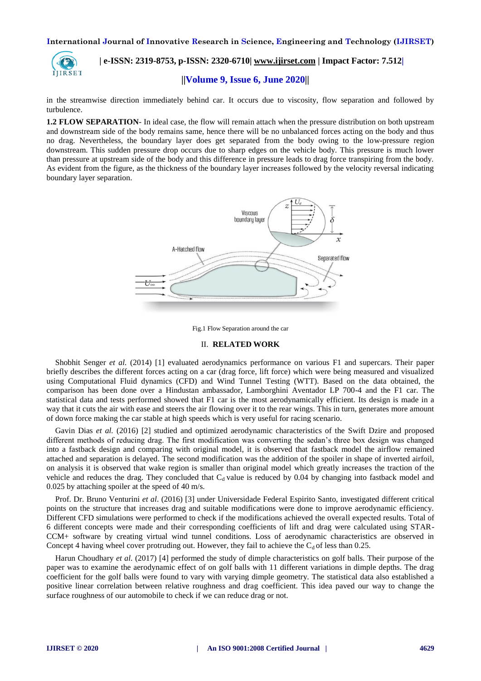

# **| e-ISSN: 2319-8753, p-ISSN: 2320-6710| [www.ijirset.com](http://www.ijirset.com/) | Impact Factor: 7.512|**

# **||Volume 9, Issue 6, June 2020||**

in the streamwise direction immediately behind car. It occurs due to viscosity, flow separation and followed by turbulence.

**1.2 FLOW SEPARATION**- In ideal case, the flow will remain attach when the pressure distribution on both upstream and downstream side of the body remains same, hence there will be no unbalanced forces acting on the body and thus no drag. Nevertheless, the boundary layer does get separated from the body owing to the low-pressure region downstream. This sudden pressure drop occurs due to sharp edges on the vehicle body. This pressure is much lower than pressure at upstream side of the body and this difference in pressure leads to drag force transpiring from the body. As evident from the figure, as the thickness of the boundary layer increases followed by the velocity reversal indicating boundary layer separation.





#### II. **RELATED WORK**

Shobhit Senger *et al.* (2014) [1] evaluated aerodynamics performance on various F1 and supercars. Their paper briefly describes the different forces acting on a car (drag force, lift force) which were being measured and visualized using Computational Fluid dynamics (CFD) and Wind Tunnel Testing (WTT). Based on the data obtained, the comparison has been done over a Hindustan ambassador, Lamborghini Aventador LP 700-4 and the F1 car. The statistical data and tests performed showed that F1 car is the most aerodynamically efficient. Its design is made in a way that it cuts the air with ease and steers the air flowing over it to the rear wings. This in turn, generates more amount of down force making the car stable at high speeds which is very useful for racing scenario.

Gavin Dias *et al.* (2016) [2] studied and optimized aerodynamic characteristics of the Swift Dzire and proposed different methods of reducing drag. The first modification was converting the sedan's three box design was changed into a fastback design and comparing with original model, it is observed that fastback model the airflow remained attached and separation is delayed. The second modification was the addition of the spoiler in shape of inverted airfoil, on analysis it is observed that wake region is smaller than original model which greatly increases the traction of the vehicle and reduces the drag. They concluded that  $C_d$  value is reduced by 0.04 by changing into fastback model and 0.025 by attaching spoiler at the speed of 40 m/s.

Prof. Dr. Bruno Venturini *et al*. (2016) [3] under Universidade Federal Espirito Santo, investigated different critical points on the structure that increases drag and suitable modifications were done to improve aerodynamic efficiency. Different CFD simulations were performed to check if the modifications achieved the overall expected results. Total of 6 different concepts were made and their corresponding coefficients of lift and drag were calculated using STAR-CCM+ software by creating virtual wind tunnel conditions. Loss of aerodynamic characteristics are observed in Concept 4 having wheel cover protruding out. However, they fail to achieve the  $C_d$  of less than 0.25.

Harun Choudhary *et al*. (2017) [4] performed the study of dimple characteristics on golf balls. Their purpose of the paper was to examine the aerodynamic effect of on golf balls with 11 different variations in dimple depths. The drag coefficient for the golf balls were found to vary with varying dimple geometry. The statistical data also established a positive linear correlation between relative roughness and drag coefficient. This idea paved our way to change the surface roughness of our automobile to check if we can reduce drag or not.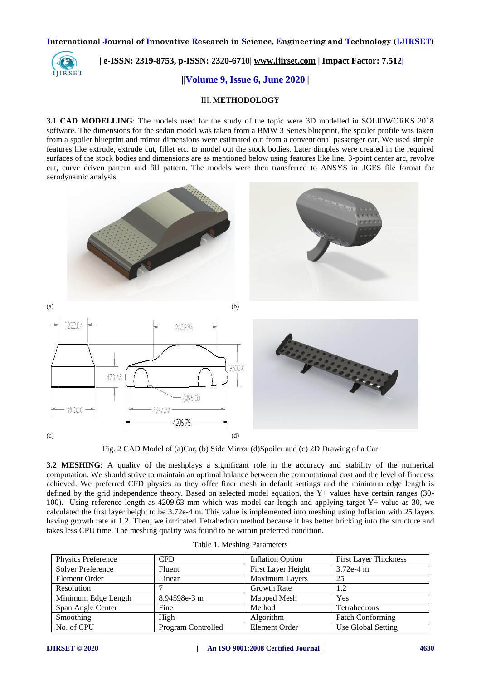

# **| e-ISSN: 2319-8753, p-ISSN: 2320-6710| [www.ijirset.com](http://www.ijirset.com/) | Impact Factor: 7.512|**

 **||Volume 9, Issue 6, June 2020||** 

### III. **METHODOLOGY**

**3.1 CAD MODELLING**: The models used for the study of the topic were 3D modelled in SOLIDWORKS 2018 software. The dimensions for the sedan model was taken from a BMW 3 Series blueprint, the spoiler profile was taken from a spoiler blueprint and mirror dimensions were estimated out from a conventional passenger car. We used simple features like extrude, extrude cut, fillet etc. to model out the stock bodies. Later dimples were created in the required surfaces of the stock bodies and dimensions are as mentioned below using features like line, 3-point center arc, revolve cut, curve driven pattern and fill pattern. The models were then transferred to ANSYS in .IGES file format for aerodynamic analysis.



Fig. 2 CAD Model of (a)Car, (b) Side Mirror (d)Spoiler and (c) 2D Drawing of a Car

**3.2 MESHING:** A quality of the meshplays a significant role in the accuracy and stability of the numerical computation. We should strive to maintain an optimal balance between the computational cost and the level of fineness achieved. We preferred CFD physics as they offer finer mesh in default settings and the minimum edge length is defined by the grid independence theory. Based on selected model equation, the Y+ values have certain ranges (30- 100). Using reference length as 4209.63 mm which was model car length and applying target Y+ value as 30, we calculated the first layer height to be 3.72e-4 m. This value is implemented into meshing using Inflation with 25 layers having growth rate at 1.2. Then, we intricated Tetrahedron method because it has better bricking into the structure and takes less CPU time. The meshing quality was found to be within preferred condition.

| Physics Preference       | <b>CFD</b>         | <b>Inflation Option</b> | <b>First Layer Thickness</b> |
|--------------------------|--------------------|-------------------------|------------------------------|
| <b>Solver Preference</b> | Fluent             | First Layer Height      | $3.72e-4$ m                  |
| Element Order            | Linear             | Maximum Layers          | 25                           |
| Resolution               |                    | <b>Growth Rate</b>      | 1.2                          |
| Minimum Edge Length      | 8.94598e-3 m       | Mapped Mesh             | Yes                          |
| Span Angle Center        | Fine               | Method                  | Tetrahedrons                 |
| Smoothing                | High               | Algorithm               | <b>Patch Conforming</b>      |
| No. of CPU               | Program Controlled | Element Order           | Use Global Setting           |

|  | Table 1. Meshing Parameters |
|--|-----------------------------|
|--|-----------------------------|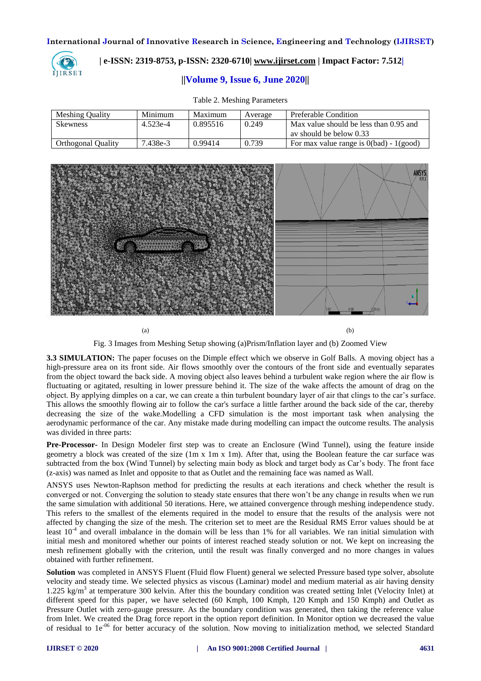

# **| e-ISSN: 2319-8753, p-ISSN: 2320-6710| [www.ijirset.com](http://www.ijirset.com/) | Impact Factor: 7.512|**

# **||Volume 9, Issue 6, June 2020||**

| <b>Meshing Quality</b> | Minimum  | Maximum  | Average | Preferable Condition                      |
|------------------------|----------|----------|---------|-------------------------------------------|
| <b>Skewness</b>        | 4.523e-4 | 0.895516 | 0.249   | Max value should be less than 0.95 and    |
|                        |          |          |         | ay should be below 0.33                   |
| Orthogonal Quality     | 7.438e-3 | 0.99414  | 0.739   | For max value range is $0(bad) - 1(good)$ |

#### Table 2. Meshing Parameters



 $(a)$  (b)

Fig. 3 Images from Meshing Setup showing (a)Prism/Inflation layer and (b) Zoomed View

**3.3 SIMULATION:** The paper focuses on the Dimple effect which we observe in Golf Balls. A moving object has a high-pressure area on its front side. Air flows smoothly over the contours of the front side and eventually separates from the object toward the back side. A moving object also leaves behind a turbulent wake region where the air flow is fluctuating or agitated, resulting in lower pressure behind it. The size of the wake affects the amount of drag on the object. By applying dimples on a car, we can create a thin turbulent boundary layer of air that clings to the car's surface. This allows the smoothly flowing air to follow the car's surface a little farther around the back side of the car, thereby decreasing the size of the wake.Modelling a CFD simulation is the most important task when analysing the aerodynamic performance of the car. Any mistake made during modelling can impact the outcome results. The analysis was divided in three parts:

**Pre-Processor-** In Design Modeler first step was to create an Enclosure (Wind Tunnel), using the feature inside geometry a block was created of the size  $(1m \times 1m \times 1m)$ . After that, using the Boolean feature the car surface was subtracted from the box (Wind Tunnel) by selecting main body as block and target body as Car's body. The front face (z-axis) was named as Inlet and opposite to that as Outlet and the remaining face was named as Wall.

ANSYS uses Newton-Raphson method for predicting the results at each iterations and check whether the result is converged or not. Converging the solution to steady state ensures that there won't be any change in results when we run the same simulation with additional 50 iterations. Here, we attained convergence through meshing independence study. This refers to the smallest of the elements required in the model to ensure that the results of the analysis were not affected by changing the size of the mesh. The criterion set to meet are the Residual RMS Error values should be at least  $10^{-4}$  and overall imbalance in the domain will be less than 1% for all variables. We ran initial simulation with initial mesh and monitored whether our points of interest reached steady solution or not. We kept on increasing the mesh refinement globally with the criterion, until the result was finally converged and no more changes in values obtained with further refinement.

**Solution** was completed in ANSYS Fluent (Fluid flow Fluent) general we selected Pressure based type solver, absolute velocity and steady time. We selected physics as viscous (Laminar) model and medium material as air having density 1.225 kg/m<sup>3</sup> at temperature 300 kelvin. After this the boundary condition was created setting Inlet (Velocity Inlet) at different speed for this paper, we have selected (60 Kmph, 100 Kmph, 120 Kmph and 150 Kmph) and Outlet as Pressure Outlet with zero-gauge pressure. As the boundary condition was generated, then taking the reference value from Inlet. We created the Drag force report in the option report definition. In Monitor option we decreased the value of residual to 1e<sup>-06</sup> for better accuracy of the solution. Now moving to initialization method, we selected Standard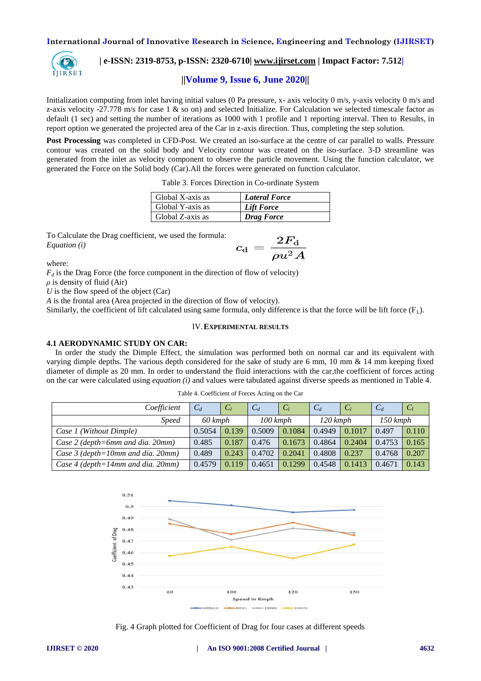

# **| e-ISSN: 2319-8753, p-ISSN: 2320-6710| [www.ijirset.com](http://www.ijirset.com/) | Impact Factor: 7.512|**

# **||Volume 9, Issue 6, June 2020||**

Initialization computing from inlet having initial values (0 Pa pressure, x- axis velocity 0 m/s, y-axis velocity 0 m/s and z-axis velocity -27.778 m/s for case  $1 \&$  so on) and selected Initialize. For Calculation we selected timescale factor as default (1 sec) and setting the number of iterations as 1000 with 1 profile and 1 reporting interval. Then to Results, in report option we generated the projected area of the Car in z-axis direction. Thus, completing the step solution.

**Post Processing** was completed in CFD-Post. We created an iso-surface at the centre of car parallel to walls. Pressure contour was created on the solid body and Velocity contour was created on the iso-surface. 3-D streamline was generated from the inlet as velocity component to observe the particle movement. Using the function calculator, we generated the Force on the Solid body (Car).All the forces were generated on function calculator.

|  |  |  |  | Table 3. Forces Direction in Co-ordinate System |  |
|--|--|--|--|-------------------------------------------------|--|
|--|--|--|--|-------------------------------------------------|--|

| Global X-axis as | <b>Lateral Force</b> |
|------------------|----------------------|
| Global Y-axis as | Lift Force           |
| Global Z-axis as | <b>Drag Force</b>    |

To Calculate the Drag coefficient, we used the formula: *Equation (i)*

$$
c_{\rm d}=\frac{2F_{\rm d}}{\rho u^2 A}
$$

where:

 $F_d$  is the Drag Force (the force component in the direction of flow of velocity)

 $\rho$  is density of fluid (Air)

*U* is the flow speed of the object (Car)

*A* is the frontal area (Area projected in the direction of flow of velocity).

Similarly, the coefficient of lift calculated using same formula, only difference is that the force will be lift force  $(F<sub>L</sub>)$ .

#### IV.**EXPERIMENTAL RESULTS**

# **4.1 AERODYNAMIC STUDY ON CAR:**

In order the study the Dimple Effect, the simulation was performed both on normal car and its equivalent with varying dimple depths. The various depth considered for the sake of study are 6 mm, 10 mm & 14 mm keeping fixed diameter of dimple as 20 mm. In order to understand the fluid interactions with the car,the coefficient of forces acting on the car were calculated using *equation (i)* and values were tabulated against diverse speeds as mentioned in Table 4.

| Coefficient                          | $C_d$   | C <sub>1</sub> | $C_d$      | C <sub>1</sub> | $C_d$      | $C_1$  | $C_d$      | $C_I$ |
|--------------------------------------|---------|----------------|------------|----------------|------------|--------|------------|-------|
| <i>Speed</i>                         | 60 kmph |                | $100$ kmph |                | $120$ kmph |        | $150$ kmph |       |
| Case 1 (Without Dimple)              | 0.5054  | 0.139          | 0.5009     | 0.1084         | 0.4949     | 0.1017 | 0.497      | 0.110 |
| Case 2 (depth=6mm and dia. 20mm)     | 0.485   | 0.187          | 0.476      | 0.1673         | 0.4864     | 0.2404 | 0.4753     | 0.165 |
| Case $3$ (depth=10mm and dia. 20mm)  | 0.489   | 0.243          | 0.4702     | 0.2041         | 0.4808     | 0.237  | 0.4768     | 0.207 |
| Case 4 (depth=14mm and dia. $20mm$ ) | 0.4579  | 0.119          | 0.4651     | 0.1299         | 0.4548     | 0.1413 | 0.4671     | 0.143 |

Table 4. Coefficient of Forces Acting on the Car



Fig. 4 Graph plotted for Coefficient of Drag for four cases at different speeds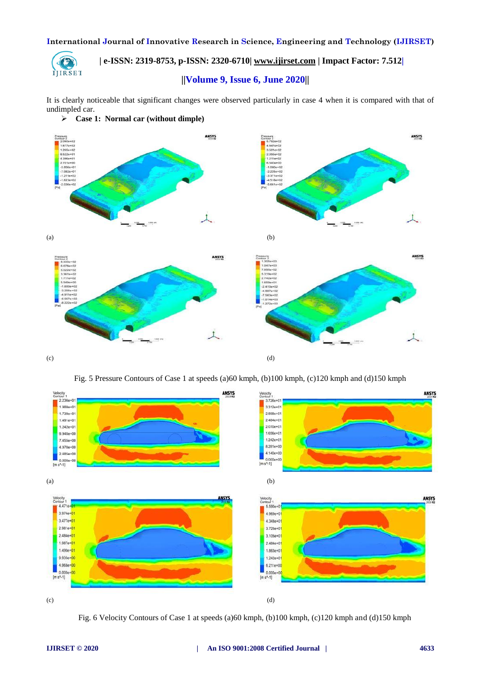

# **| e-ISSN: 2319-8753, p-ISSN: 2320-6710| [www.ijirset.com](http://www.ijirset.com/) | Impact Factor: 7.512|**

# **||Volume 9, Issue 6, June 2020||**

It is clearly noticeable that significant changes were observed particularly in case 4 when it is compared with that of undimpled car.



Fig. 5 Pressure Contours of Case 1 at speeds (a)60 kmph, (b)100 kmph, (c)120 kmph and (d)150 kmph



Fig. 6 Velocity Contours of Case 1 at speeds (a)60 kmph, (b)100 kmph, (c)120 kmph and (d)150 kmph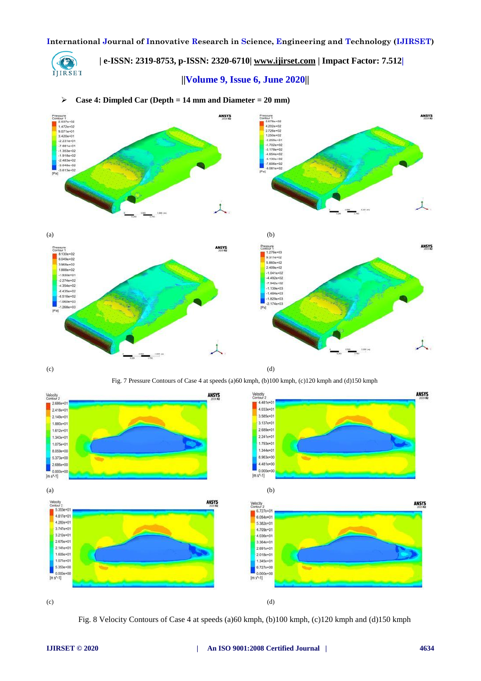**| e-ISSN: 2319-8753, p-ISSN: 2320-6710| [www.ijirset.com](http://www.ijirset.com/) | Impact Factor: 7.512|**

 **||Volume 9, Issue 6, June 2020||** 

# **Case 4: Dimpled Car (Depth = 14 mm and Diameter = 20 mm)**





C IJIRSET

Fig. 7 Pressure Contours of Case 4 at speeds (a)60 kmph, (b)100 kmph, (c)120 kmph and (d)150 kmph



Fig. 8 Velocity Contours of Case 4 at speeds (a)60 kmph, (b)100 kmph, (c)120 kmph and (d)150 kmph

ANSYS

ANSYS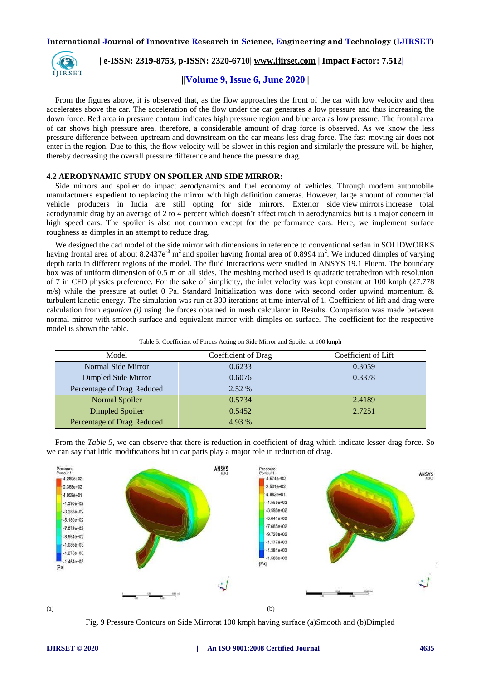

 **| e-ISSN: 2319-8753, p-ISSN: 2320-6710| [www.ijirset.com](http://www.ijirset.com/) | Impact Factor: 7.512|**

 **||Volume 9, Issue 6, June 2020||** 

From the figures above, it is observed that, as the flow approaches the front of the car with low velocity and then accelerates above the car. The acceleration of the flow under the car generates a low pressure and thus increasing the down force. Red area in pressure contour indicates high pressure region and blue area as low pressure. The frontal area of car shows high pressure area, therefore, a considerable amount of drag force is observed. As we know the less pressure difference between upstream and downstream on the car means less drag force. The fast-moving air does not enter in the region. Due to this, the flow velocity will be slower in this region and similarly the pressure will be higher, thereby decreasing the overall pressure difference and hence the pressure drag.

#### **4.2 AERODYNAMIC STUDY ON SPOILER AND SIDE MIRROR:**

Side mirrors and spoiler do impact aerodynamics and fuel economy of vehicles. Through modern automobile manufacturers expedient to replacing the mirror with high definition cameras. However, large amount of commercial vehicle producers in India are still opting for side mirrors. Exterior side view mirrors increase total aerodynamic drag by an average of 2 to 4 percent which doesn't affect much in aerodynamics but is a major concern in high speed cars. The spoiler is also not common except for the performance cars. Here, we implement surface roughness as dimples in an attempt to reduce drag.

We designed the cad model of the side mirror with dimensions in reference to conventional sedan in SOLIDWORKS having frontal area of about  $8.2437e^{-3}$  m<sup>2</sup> and spoiler having frontal area of 0.8994 m<sup>2</sup>. We induced dimples of varying depth ratio in different regions of the model. The fluid interactions were studied in ANSYS 19.1 Fluent. The boundary box was of uniform dimension of 0.5 m on all sides. The meshing method used is quadratic tetrahedron with resolution of 7 in CFD physics preference. For the sake of simplicity, the inlet velocity was kept constant at 100 kmph (27.778  $m/s$ ) while the pressure at outlet 0 Pa. Standard Initialization was done with second order upwind momentum  $\&$ turbulent kinetic energy. The simulation was run at 300 iterations at time interval of 1. Coefficient of lift and drag were calculation from *equation (i)* using the forces obtained in mesh calculator in Results. Comparison was made between normal mirror with smooth surface and equivalent mirror with dimples on surface. The coefficient for the respective model is shown the table.

| Model                      | Coefficient of Drag | Coefficient of Lift |
|----------------------------|---------------------|---------------------|
| Normal Side Mirror         | 0.6233              | 0.3059              |
| Dimpled Side Mirror        | 0.6076              | 0.3378              |
| Percentage of Drag Reduced | $2.52\%$            |                     |
| Normal Spoiler             | 0.5734              | 2.4189              |
| Dimpled Spoiler            | 0.5452              | 2.7251              |
| Percentage of Drag Reduced | 4.93 %              |                     |

Table 5. Coefficient of Forces Acting on Side Mirror and Spoiler at 100 kmph

From the *Table 5*, we can observe that there is reduction in coefficient of drag which indicate lesser drag force. So we can say that little modifications bit in car parts play a major role in reduction of drag.





Fig. 9 Pressure Contours on Side Mirrorat 100 kmph having surface (a)Smooth and (b)Dimpled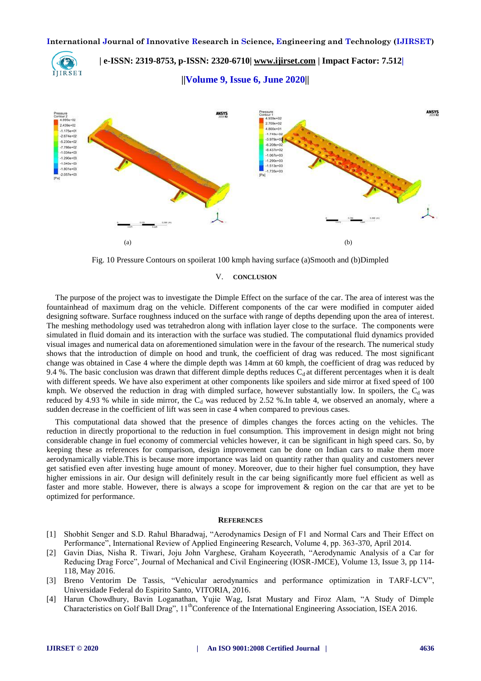**| e-ISSN: 2319-8753, p-ISSN: 2320-6710| [www.ijirset.com](http://www.ijirset.com/) | Impact Factor: 7.512|** IJIRSET  **||Volume 9, Issue 6, June 2020||** 



Fig. 10 Pressure Contours on spoilerat 100 kmph having surface (a)Smooth and (b)Dimpled

#### V. **CONCLUSION**

The purpose of the project was to investigate the Dimple Effect on the surface of the car. The area of interest was the fountainhead of maximum drag on the vehicle. Different components of the car were modified in computer aided designing software. Surface roughness induced on the surface with range of depths depending upon the area of interest. The meshing methodology used was tetrahedron along with inflation layer close to the surface. The components were simulated in fluid domain and its interaction with the surface was studied. The computational fluid dynamics provided visual images and numerical data on aforementioned simulation were in the favour of the research. The numerical study shows that the introduction of dimple on hood and trunk, the coefficient of drag was reduced. The most significant change was obtained in Case 4 where the dimple depth was 14mm at 60 kmph, the coefficient of drag was reduced by 9.4 %. The basic conclusion was drawn that different dimple depths reduces  $C_d$  at different percentages when it is dealt with different speeds. We have also experiment at other components like spoilers and side mirror at fixed speed of 100 kmph. We observed the reduction in drag with dimpled surface, however substantially low. In spoilers, the  $C_d$  was reduced by 4.93 % while in side mirror, the C<sub>d</sub> was reduced by 2.52 %.In table 4, we observed an anomaly, where a sudden decrease in the coefficient of lift was seen in case 4 when compared to previous cases.

This computational data showed that the presence of dimples changes the forces acting on the vehicles. The reduction in directly proportional to the reduction in fuel consumption. This improvement in design might not bring considerable change in fuel economy of commercial vehicles however, it can be significant in high speed cars. So, by keeping these as references for comparison, design improvement can be done on Indian cars to make them more aerodynamically viable.This is because more importance was laid on quantity rather than quality and customers never get satisfied even after investing huge amount of money. Moreover, due to their higher fuel consumption, they have higher emissions in air. Our design will definitely result in the car being significantly more fuel efficient as well as faster and more stable. However, there is always a scope for improvement & region on the car that are yet to be optimized for performance.

#### **REFERENCES**

- [1] Shobhit Senger and S.D. Rahul Bharadwaj, "Aerodynamics Design of F1 and Normal Cars and Their Effect on Performance", International Review of Applied Engineering Research, Volume 4, pp. 363-370, April 2014.
- [2] Gavin Dias, Nisha R. Tiwari, Joju John Varghese, Graham Koyeerath, "Aerodynamic Analysis of a Car for Reducing Drag Force", Journal of Mechanical and Civil Engineering (IOSR-JMCE), Volume 13, Issue 3, pp 114- 118, May 2016.
- [3] Breno Ventorim De Tassis, "Vehicular aerodynamics and performance optimization in TARF-LCV", Universidade Federal do Espirito Santo, VITORIA, 2016.
- [4] Harun Chowdhury, Bavin Loganathan, Yujie Wag, Israt Mustary and Firoz Alam, "A Study of Dimple Characteristics on Golf Ball Drag",  $11<sup>th</sup>$ Conference of the International Engineering Association, ISEA 2016.